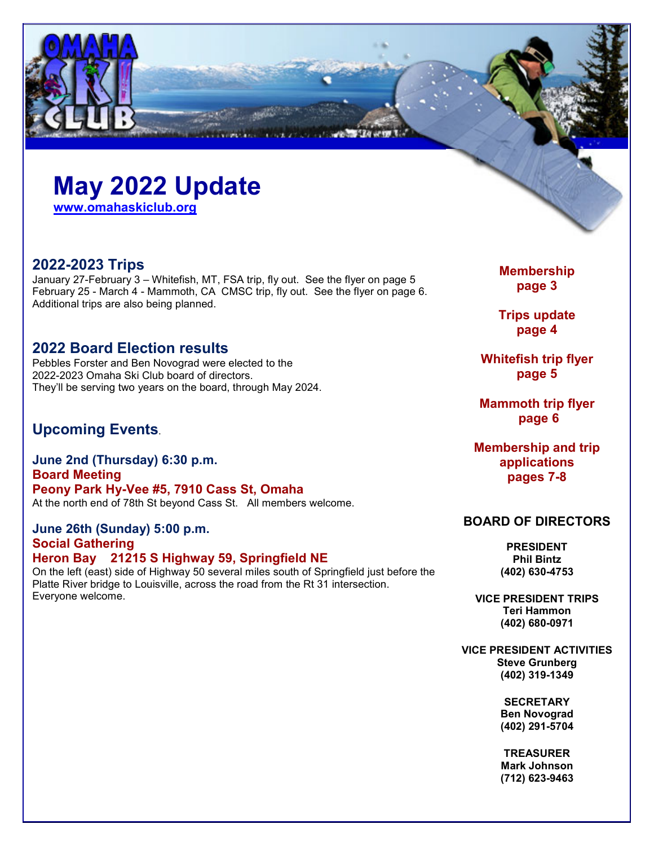# **May 2022 Update**

**www.omahaskiclub.org**

## **2022-2023 Trips**

January 27-February 3 – Whitefish, MT, FSA trip, fly out. See the flyer on page 5 February 25 - March 4 - Mammoth, CA CMSC trip, fly out. See the flyer on page 6. Additional trips are also being planned.

## **2022 Board Election results**

Pebbles Forster and Ben Novograd were elected to the 2022-2023 Omaha Ski Club board of directors. They'll be serving two years on the board, through May 2024.

## **Upcoming Events**.

**June 2nd (Thursday) 6:30 p.m. Board Meeting Peony Park Hy-Vee #5, 7910 Cass St, Omaha**  At the north end of 78th St beyond Cass St. All members welcome.

**June 26th (Sunday) 5:00 p.m. Social Gathering Heron Bay 21215 S Highway 59, Springfield NE**  On the left (east) side of Highway 50 several miles south of Springfield just before the Platte River bridge to Louisville, across the road from the Rt 31 intersection. Everyone welcome.

**Membership page 3** 

**Trips update page 4** 

**Whitefish trip flyer page 5** 

**Mammoth trip flyer page 6** 

**Membership and trip applications pages 7-8** 

### **BOARD OF DIRECTORS**

**PRESIDENT Phil Bintz (402) 630-4753** 

**VICE PRESIDENT TRIPS Teri Hammon (402) 680-0971** 

**VICE PRESIDENT ACTIVITIES Steve Grunberg (402) 319-1349** 

> **SECRETARY Ben Novograd (402) 291-5704**

**TREASURER Mark Johnson (712) 623-9463**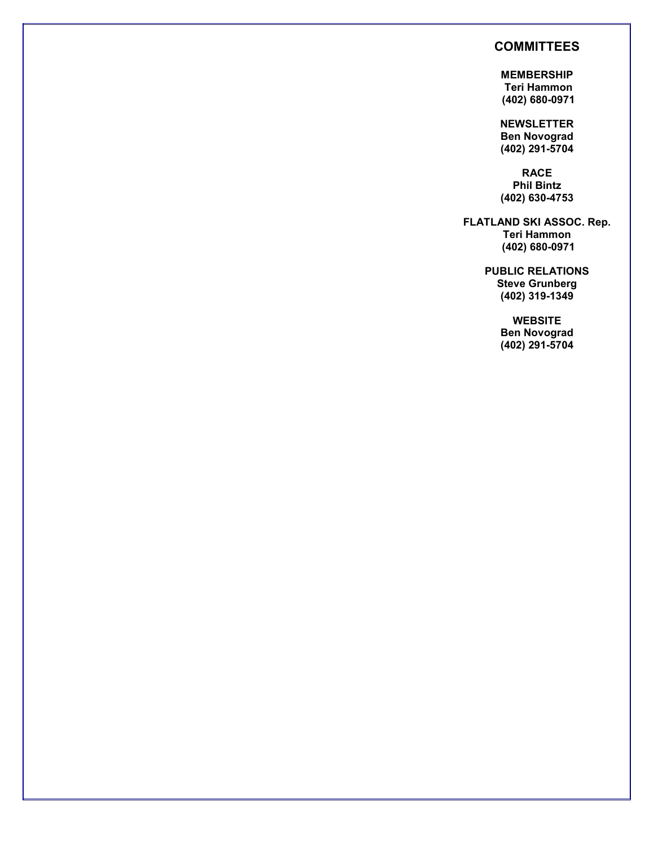### **COMMITTEES**

**MEMBERSHIP Teri Hammon (402) 680-0971** 

**NEWSLETTER Ben Novograd (402) 291-5704** 

**RACE Phil Bintz (402) 630-4753**

**FLATLAND SKI ASSOC. Rep. Teri Hammon (402) 680-0971**

> **PUBLIC RELATIONS Steve Grunberg (402) 319-1349**

> > **WEBSITE Ben Novograd (402) 291-5704**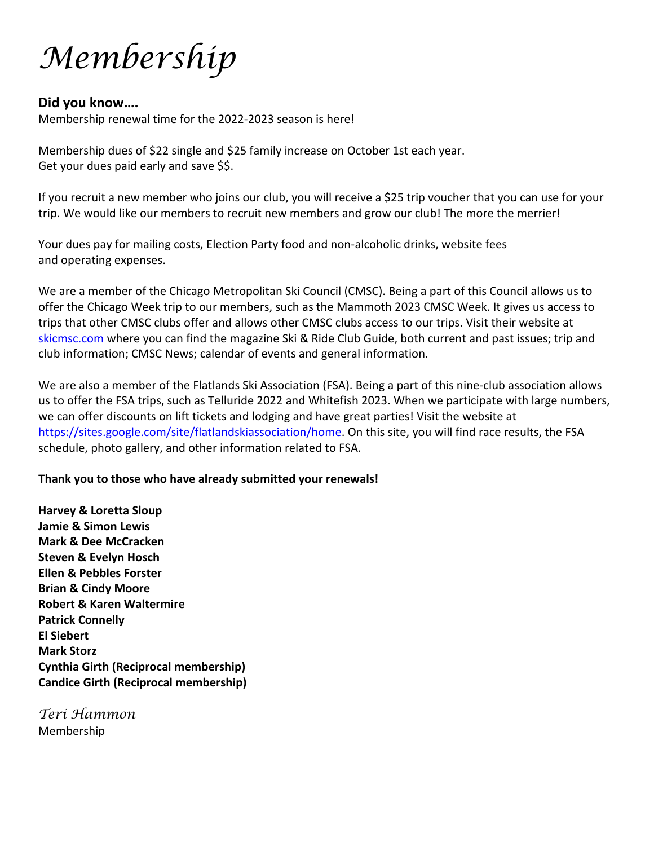Membership

### **Did you know….**

Membership renewal time for the 2022-2023 season is here!

Membership dues of \$22 single and \$25 family increase on October 1st each year. Get your dues paid early and save \$\$.

If you recruit a new member who joins our club, you will receive a \$25 trip voucher that you can use for your trip. We would like our members to recruit new members and grow our club! The more the merrier!

Your dues pay for mailing costs, Election Party food and non-alcoholic drinks, website fees and operating expenses.

We are a member of the Chicago Metropolitan Ski Council (CMSC). Being a part of this Council allows us to offer the Chicago Week trip to our members, such as the Mammoth 2023 CMSC Week. It gives us access to trips that other CMSC clubs offer and allows other CMSC clubs access to our trips. Visit their website at skicmsc.com where you can find the magazine Ski & Ride Club Guide, both current and past issues; trip and club information; CMSC News; calendar of events and general information.

We are also a member of the Flatlands Ski Association (FSA). Being a part of this nine-club association allows us to offer the FSA trips, such as Telluride 2022 and Whitefish 2023. When we participate with large numbers, we can offer discounts on lift tickets and lodging and have great parties! Visit the website at https://sites.google.com/site/flatlandskiassociation/home. On this site, you will find race results, the FSA schedule, photo gallery, and other information related to FSA.

### **Thank you to those who have already submitted your renewals!**

**Harvey & Loretta Sloup Jamie & Simon Lewis Mark & Dee McCracken Steven & Evelyn Hosch Ellen & Pebbles Forster Brian & Cindy Moore Robert & Karen Waltermire Patrick Connelly El Siebert Mark Storz Cynthia Girth (Reciprocal membership) Candice Girth (Reciprocal membership)** 

Teri Hammon Membership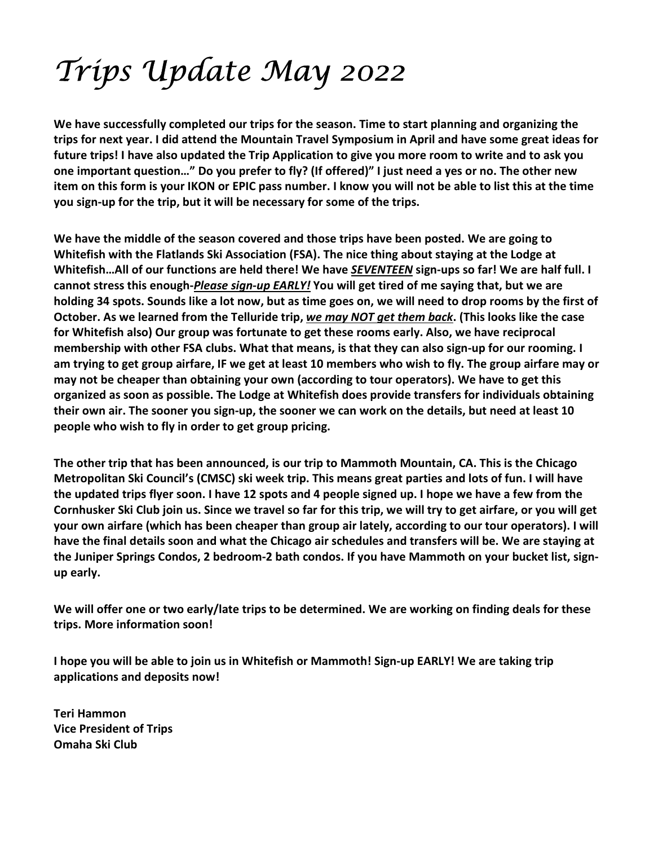# Trips Update May 2022

**We have successfully completed our trips for the season. Time to start planning and organizing the trips for next year. I did attend the Mountain Travel Symposium in April and have some great ideas for future trips! I have also updated the Trip Application to give you more room to write and to ask you one important question…" Do you prefer to fly? (If offered)" I just need a yes or no. The other new item on this form is your IKON or EPIC pass number. I know you will not be able to list this at the time you sign-up for the trip, but it will be necessary for some of the trips.** 

**We have the middle of the season covered and those trips have been posted. We are going to Whitefish with the Flatlands Ski Association (FSA). The nice thing about staying at the Lodge at Whitefish…All of our functions are held there! We have** *SEVENTEEN* **sign-ups so far! We are half full. I cannot stress this enough-***Please sign-up EARLY!* **You will get tired of me saying that, but we are holding 34 spots. Sounds like a lot now, but as time goes on, we will need to drop rooms by the first of October. As we learned from the Telluride trip,** *we may NOT get them back***. (This looks like the case for Whitefish also) Our group was fortunate to get these rooms early. Also, we have reciprocal membership with other FSA clubs. What that means, is that they can also sign-up for our rooming. I am trying to get group airfare, IF we get at least 10 members who wish to fly. The group airfare may or may not be cheaper than obtaining your own (according to tour operators). We have to get this organized as soon as possible. The Lodge at Whitefish does provide transfers for individuals obtaining their own air. The sooner you sign-up, the sooner we can work on the details, but need at least 10 people who wish to fly in order to get group pricing.** 

**The other trip that has been announced, is our trip to Mammoth Mountain, CA. This is the Chicago Metropolitan Ski Council's (CMSC) ski week trip. This means great parties and lots of fun. I will have the updated trips flyer soon. I have 12 spots and 4 people signed up. I hope we have a few from the Cornhusker Ski Club join us. Since we travel so far for this trip, we will try to get airfare, or you will get your own airfare (which has been cheaper than group air lately, according to our tour operators). I will have the final details soon and what the Chicago air schedules and transfers will be. We are staying at the Juniper Springs Condos, 2 bedroom-2 bath condos. If you have Mammoth on your bucket list, signup early.** 

**We will offer one or two early/late trips to be determined. We are working on finding deals for these trips. More information soon!** 

**I hope you will be able to join us in Whitefish or Mammoth! Sign-up EARLY! We are taking trip applications and deposits now!** 

**Teri Hammon Vice President of Trips Omaha Ski Club**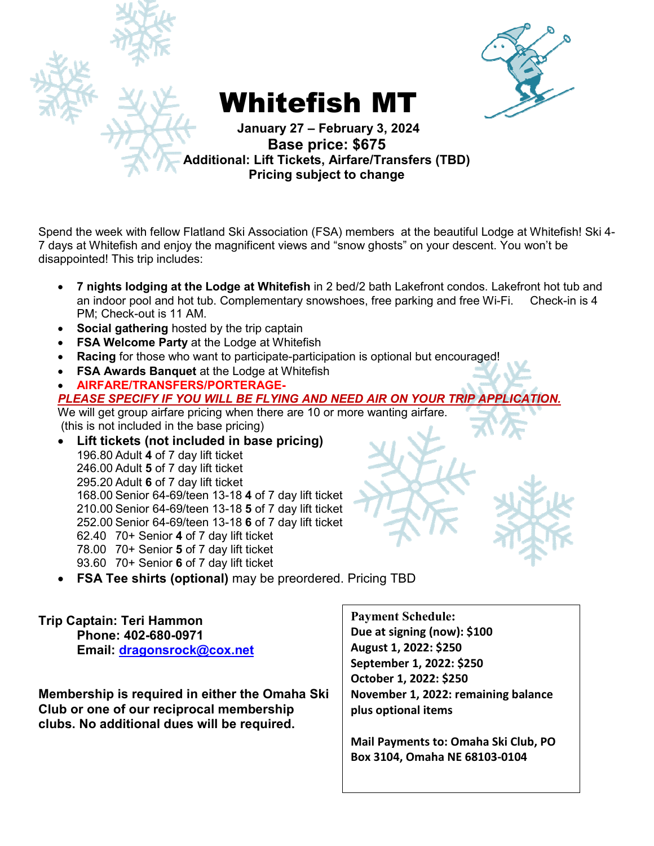



- **7 nights lodging at the Lodge at Whitefish** in 2 bed/2 bath Lakefront condos. Lakefront hot tub and an indoor pool and hot tub. Complementary snowshoes, free parking and free Wi-Fi. Check-in is 4 PM; Check-out is 11 AM.
- **Social gathering** hosted by the trip captain
- **FSA Welcome Party** at the Lodge at Whitefish
- **Racing** for those who want to participate-participation is optional but encouraged!
- **FSA Awards Banquet** at the Lodge at Whitefish
- **AIRFARE/TRANSFERS/PORTERAGE-***PLEASE SPECIFY IF YOU WILL BE FLYING AND NEED AIR ON YOUR TRIP APPLICATION.* We will get group airfare pricing when there are 10 or more wanting airfare.

(this is not included in the base pricing)

- **Lift tickets (not included in base pricing)**  196.80 Adult **4** of 7 day lift ticket 246.00 Adult **5** of 7 day lift ticket 295.20 Adult **6** of 7 day lift ticket 168.00 Senior 64-69/teen 13-18 **4** of 7 day lift ticket 210.00 Senior 64-69/teen 13-18 **5** of 7 day lift ticket 252.00 Senior 64-69/teen 13-18 **6** of 7 day lift ticket 62.40 70+ Senior **4** of 7 day lift ticket 78.00 70+ Senior **5** of 7 day lift ticket 93.60 70+ Senior **6** of 7 day lift ticket
- **FSA Tee shirts (optional)** may be preordered. Pricing TBD

**Trip Captain: Teri Hammon Phone: 402-680-0971 Email: dragonsrock@cox.net**

**Membership is required in either the Omaha Ski Club or one of our reciprocal membership clubs. No additional dues will be required.** 

**Payment Schedule: Due at signing (now): \$100 August 1, 2022: \$250 September 1, 2022: \$250 October 1, 2022: \$250 November 1, 2022: remaining balance plus optional items** 

**Mail Payments to: Omaha Ski Club, PO Box 3104, Omaha NE 68103-0104** 

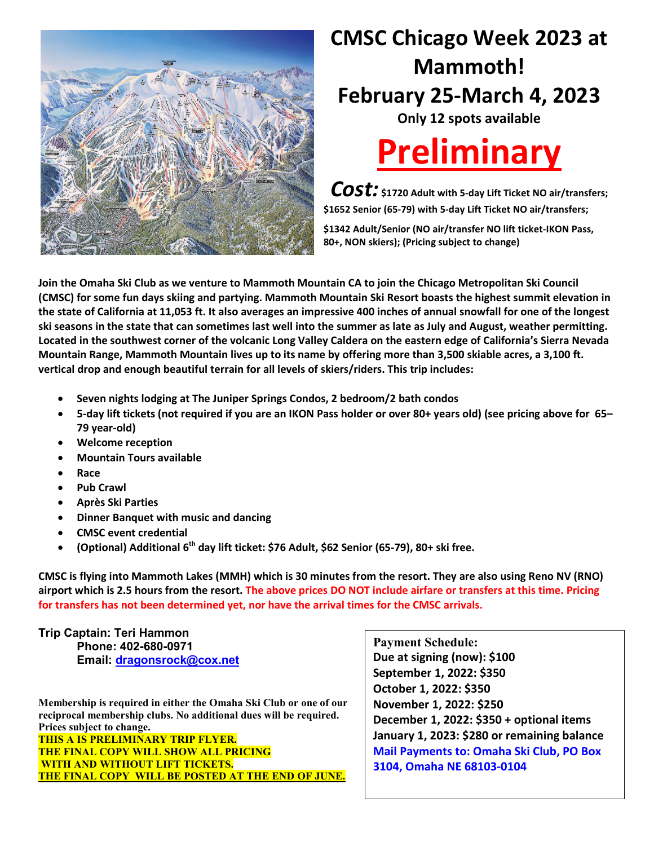

# **CMSC Chicago Week 2023 at Mammoth! February 25-March 4, 2023**

**Only 12 spots available** 



*Cost:* **\$1720 Adult with 5-day Lift Ticket NO air/transfers; \$1652 Senior (65-79) with 5-day Lift Ticket NO air/transfers; \$1342 Adult/Senior (NO air/transfer NO lift ticket-IKON Pass, 80+, NON skiers); (Pricing subject to change)** 

**Join the Omaha Ski Club as we venture to Mammoth Mountain CA to join the Chicago Metropolitan Ski Council (CMSC) for some fun days skiing and partying. Mammoth Mountain Ski Resort boasts the highest summit elevation in the state of California at 11,053 ft. It also averages an impressive 400 inches of annual snowfall for one of the longest ski seasons in the state that can sometimes last well into the summer as late as July and August, weather permitting. Located in the southwest corner of the volcanic Long Valley Caldera on the eastern edge of California's Sierra Nevada Mountain Range, Mammoth Mountain lives up to its name by offering more than 3,500 skiable acres, a 3,100 ft. vertical drop and enough beautiful terrain for all levels of skiers/riders. This trip includes:** 

- **Seven nights lodging at The Juniper Springs Condos, 2 bedroom/2 bath condos**
- **5-day lift tickets (not required if you are an IKON Pass holder or over 80+ years old) (see pricing above for 65– 79 year-old)**
- **Welcome reception**
- **Mountain Tours available**
- **Race**
- **Pub Crawl**
- **Après Ski Parties**
- **Dinner Banquet with music and dancing**
- **CMSC event credential**
- **(Optional) Additional 6th day lift ticket: \$76 Adult, \$62 Senior (65-79), 80+ ski free.**

**CMSC is flying into Mammoth Lakes (MMH) which is 30 minutes from the resort. They are also using Reno NV (RNO) airport which is 2.5 hours from the resort. The above prices DO NOT include airfare or transfers at this time. Pricing for transfers has not been determined yet, nor have the arrival times for the CMSC arrivals.**

## **Trip Captain: Teri Hammon Phone: 402-680-0971**

 **Email: dragonsrock@cox.net**

**Membership is required in either the Omaha Ski Club or one of our reciprocal membership clubs. No additional dues will be required. Prices subject to change. THIS A IS PRELIMINARY TRIP FLYER. THE FINAL COPY WILL SHOW ALL PRICING WITH AND WITHOUT LIFT TICKETS. THE FINAL COPY WILL BE POSTED AT THE END OF JUNE.** 

**Payment Schedule: Due at signing (now): \$100 September 1, 2022: \$350 October 1, 2022: \$350 November 1, 2022: \$250 December 1, 2022: \$350 + optional items January 1, 2023: \$280 or remaining balance Mail Payments to: Omaha Ski Club, PO Box 3104, Omaha NE 68103-0104**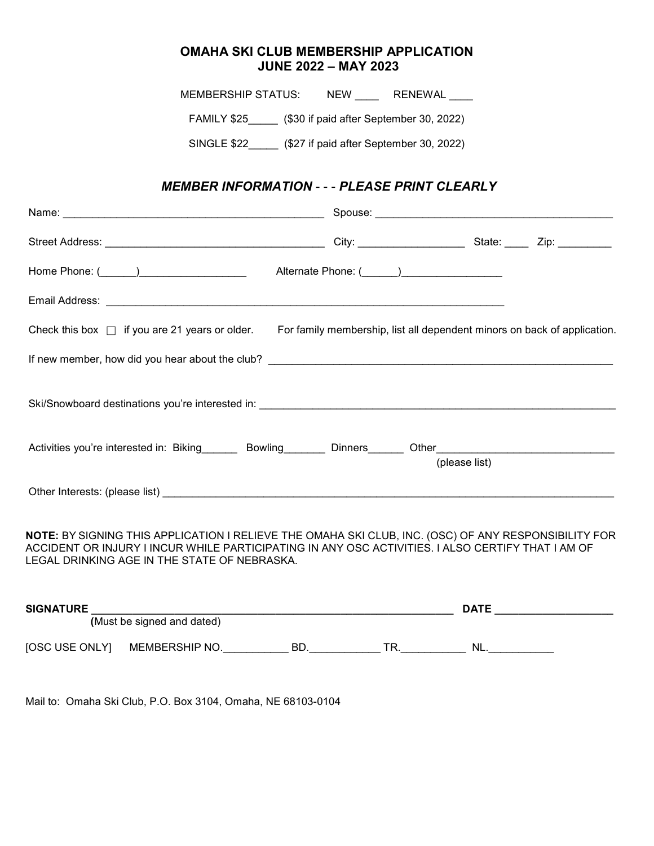### **OMAHA SKI CLUB MEMBERSHIP APPLICATION JUNE 2022 – MAY 2023**

MEMBERSHIP STATUS: \_\_\_ NEW \_\_\_\_\_ RENEWAL FAMILY \$25 (\$30 if paid after September 30, 2022) SINGLE \$22\_\_\_\_\_ (\$27 if paid after September 30, 2022) *MEMBER INFORMATION* - - - *PLEASE PRINT CLEARLY* Name: \_\_\_\_\_\_\_\_\_\_\_\_\_\_\_\_\_\_\_\_\_\_\_\_\_\_\_\_\_\_\_\_\_\_\_\_\_\_\_\_\_\_\_\_ Spouse: \_\_\_\_\_\_\_\_\_\_\_\_\_\_\_\_\_\_\_\_\_\_\_\_\_\_\_\_\_\_\_\_\_\_\_\_\_\_\_\_ Street Address: \_\_\_\_\_\_\_\_\_\_\_\_\_\_\_\_\_\_\_\_\_\_\_\_\_\_\_\_\_\_\_\_\_\_\_\_\_ City: \_\_\_\_\_\_\_\_\_\_\_\_\_\_\_\_\_\_ State: \_\_\_\_ Zip: \_\_\_\_\_\_\_\_\_ Home Phone: (\_\_\_\_\_\_) Alternate Phone: (\_\_\_\_\_\_) Email Address: \_\_\_\_\_\_\_\_\_\_\_\_\_\_\_\_\_\_\_\_\_\_\_\_\_\_\_\_\_\_\_\_\_\_\_\_\_\_\_\_\_\_\_\_\_\_\_\_\_\_\_\_\_\_\_\_\_\_\_\_\_\_\_\_\_\_\_ Check this box  $\Box$  if you are 21 years or older. For family membership, list all dependent minors on back of application. If new member, how did you hear about the club? \_\_\_\_\_\_\_\_\_\_\_\_\_\_\_\_\_\_\_\_\_\_\_\_\_\_\_\_\_\_\_\_\_\_\_\_\_\_\_\_\_\_\_\_\_\_\_\_\_\_\_\_\_\_\_\_\_\_ Ski/Snowboard destinations you're interested in:  $\overline{\phantom{a}}$ 

| Activities you're interested in: Biking | Bowling | <b>Dinners</b> | Other         |
|-----------------------------------------|---------|----------------|---------------|
|                                         |         |                | (please list) |
| Other Interests: (please list)          |         |                |               |

**NOTE:** BY SIGNING THIS APPLICATION I RELIEVE THE OMAHA SKI CLUB, INC. (OSC) OF ANY RESPONSIBILITY FOR ACCIDENT OR INJURY I INCUR WHILE PARTICIPATING IN ANY OSC ACTIVITIES. I ALSO CERTIFY THAT I AM OF LEGAL DRINKING AGE IN THE STATE OF NEBRASKA.

| <b>SIGNATURE</b> |  |                            |     | <b>DATE</b> |     |  |
|------------------|--|----------------------------|-----|-------------|-----|--|
|                  |  | (Must be signed and dated) |     |             |     |  |
| [OSC USE ONLY]   |  | MEMBERSHIP NO.             | -BD | ГR          | NL. |  |

Mail to: Omaha Ski Club, P.O. Box 3104, Omaha, NE 68103-0104